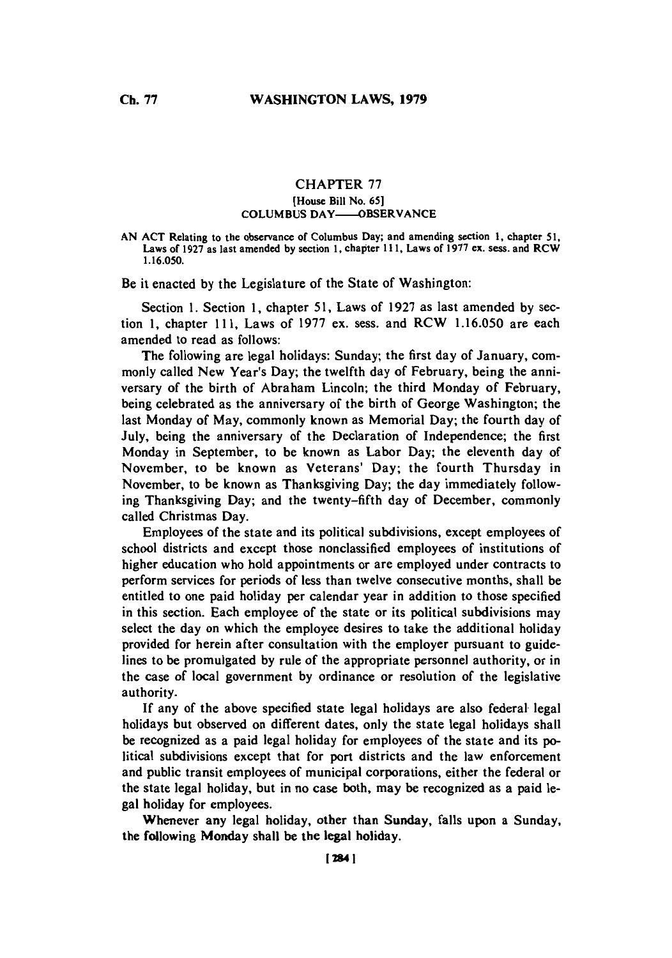## **CHAPTER 77** [House Bill No. **65] COLUMBUS** DAY---OBSERVANCE

AN ACT Relating to the observance of Columbus Day; and amending section 1, chapter 51, Laws of 1927 as last amended by section 1, chapter 111, Laws of 1977 ex. sess. and RCW **1.16.050.**

Be it enacted **by** the Legislature of the State of Washington:

Section **1.** Section **1,** chapter **51,** Laws of **1927** as last amended **by** section **1,** chapter **I111,** Laws of **1977** ex. sess. and RCW **1. 16.050** are each amended to read as follows:

The following are legal holidays: Sunday; the first day of January, commonly called New Year's Day; the twelfth day of February, being the anniversary of the birth of Abraham Lincoln; the third Monday of February, being celebrated as the anniversary of the birth of George Washington; the last Monday of May, commonly known as Memorial Day; the fourth day of July, being the anniversary of the Declaration of Independence; the first Monday in September, to be known as Labor Day; the eleventh day of November, to be known as Veterans' Day; the fourth Thursday in November, to be known as Thanksgiving Day; the day immediately following Thanksgiving Day; and the twenty-fifth day of December, commonly called Christmas Day.

Employees of the state and its political subdivisions, except employees of school districts and except those nonclassified employees of institutions of higher education who hold appointments or are employed under contracts to perform services for periods of less than twelve consecutive months, shall be entitled to one paid holiday per calendar year in addition to those specified in this section. Each employee of the state or its political subdivisions may select the day on which the employee desires to take the additional holiday provided for herein after consultation with the employer pursuant to guidelines to be promulgated **by** rule of the appropriate personnel authority, or in the case of local government **by** ordinance or resolution of the legislative authority.

**If** any of the above specified state legal holidays are also federal legal holidays but observed on different dates, only the state legal holidays shall be recognized as a paid legal holiday for employees of the state and its **po**litical subdivisions except that for port districts and the law enforcement and public transit employees of municipal corporations, either the federal or the state legal holiday, but in no case both, may be recognized as a paid legal holiday for employees.

Whenever any legal holiday, other than Sunday, falls upon a Sunday, the following Monday shall be the legal holiday.